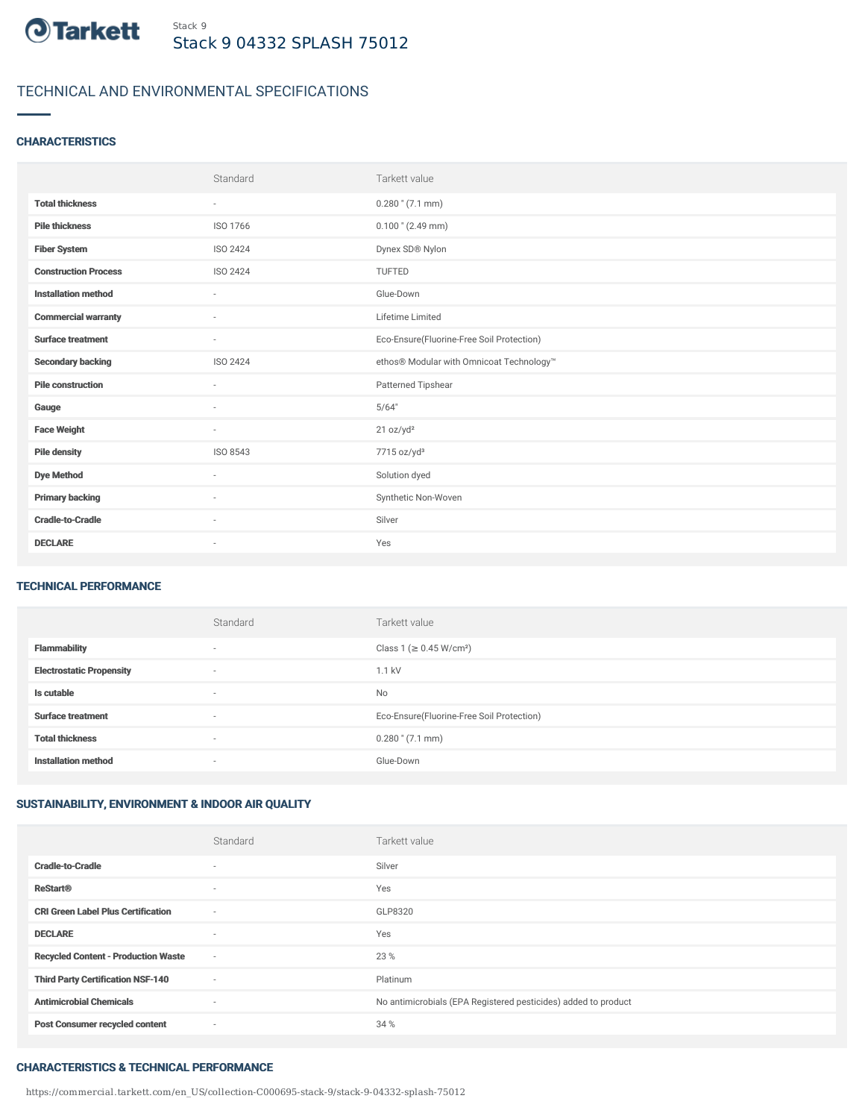

# TECHNICAL AND ENVIRONMENTAL SPECIFICATIONS

## **CHARACTERISTICS**

|                             | Standard                 | Tarkett value                             |
|-----------------------------|--------------------------|-------------------------------------------|
| <b>Total thickness</b>      | $\overline{\phantom{a}}$ | $0.280$ " $(7.1$ mm)                      |
| <b>Pile thickness</b>       | ISO 1766                 | $0.100$ " (2.49 mm)                       |
| <b>Fiber System</b>         | ISO 2424                 | Dynex SD® Nylon                           |
| <b>Construction Process</b> | <b>ISO 2424</b>          | <b>TUFTED</b>                             |
| <b>Installation method</b>  | $\overline{\phantom{a}}$ | Glue-Down                                 |
| <b>Commercial warranty</b>  | $\sim$                   | Lifetime Limited                          |
| <b>Surface treatment</b>    | $\sim$                   | Eco-Ensure(Fluorine-Free Soil Protection) |
| <b>Secondary backing</b>    | ISO 2424                 | ethos® Modular with Omnicoat Technology™  |
| <b>Pile construction</b>    | ٠                        | Patterned Tipshear                        |
| Gauge                       | $\sim$                   | 5/64"                                     |
| <b>Face Weight</b>          | $\overline{\phantom{a}}$ | 21 oz/yd <sup>2</sup>                     |
| <b>Pile density</b>         | ISO 8543                 | 7715 oz/yd <sup>3</sup>                   |
| <b>Dye Method</b>           | ٠                        | Solution dyed                             |
| <b>Primary backing</b>      | $\sim$                   | Synthetic Non-Woven                       |
| <b>Cradle-to-Cradle</b>     | $\sim$                   | Silver                                    |
| <b>DECLARE</b>              | ٠                        | Yes                                       |

### TECHNICAL PERFORMANCE

|                                 | Standard                 | Tarkett value                             |
|---------------------------------|--------------------------|-------------------------------------------|
| <b>Flammability</b>             | $\overline{\phantom{a}}$ | Class 1 (≥ 0.45 W/cm <sup>2</sup> )       |
| <b>Electrostatic Propensity</b> | $\overline{\phantom{a}}$ | 1.1 kV                                    |
| Is cutable                      | $\overline{\phantom{a}}$ | <b>No</b>                                 |
| <b>Surface treatment</b>        | $\overline{\phantom{a}}$ | Eco-Ensure(Fluorine-Free Soil Protection) |
| <b>Total thickness</b>          | $\overline{\phantom{a}}$ | $0.280$ " $(7.1$ mm)                      |
| <b>Installation method</b>      | $\overline{\phantom{a}}$ | Glue-Down                                 |

# SUSTAINABILITY, ENVIRONMENT & INDOOR AIR QUALITY

|                                            | Standard                 | Tarkett value                                                  |
|--------------------------------------------|--------------------------|----------------------------------------------------------------|
| <b>Cradle-to-Cradle</b>                    | $\overline{\phantom{a}}$ | Silver                                                         |
| <b>ReStart®</b>                            | $\overline{\phantom{a}}$ | Yes                                                            |
| <b>CRI Green Label Plus Certification</b>  | $\sim$                   | GLP8320                                                        |
| <b>DECLARE</b>                             | $\overline{\phantom{a}}$ | Yes                                                            |
| <b>Recycled Content - Production Waste</b> | $\sim$                   | 23 %                                                           |
| <b>Third Party Certification NSF-140</b>   | $\sim$                   | Platinum                                                       |
| <b>Antimicrobial Chemicals</b>             | $\sim$                   | No antimicrobials (EPA Registered pesticides) added to product |
| <b>Post Consumer recycled content</b>      | $\sim$                   | 34 %                                                           |

#### CHARACTERISTICS & TECHNICAL PERFORMANCE

https://commercial.tarkett.com/en\_US/collection-C000695-stack-9/stack-9-04332-splash-75012